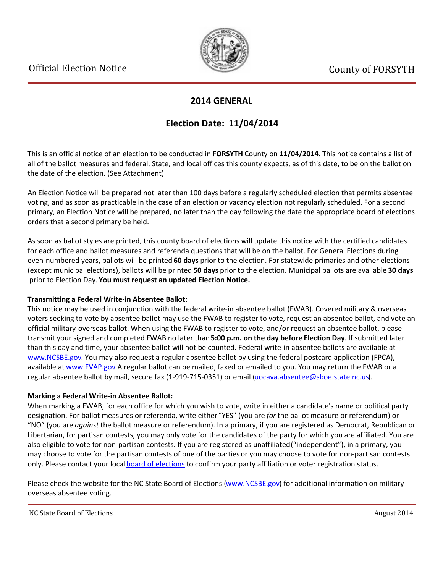

## **2014 GENERAL**

# **Election Date: 11/04/2014**

This is an official notice of an election to be conducted in **FORSYTH** County on **11/04/2014**. This notice contains a list of all of the ballot measures and federal, State, and local offices this county expects, as of this date, to be on the ballot on the date of the election. (See Attachment)

An Election Notice will be prepared not later than 100 days before a regularly scheduled election that permits absentee voting, and as soon as practicable in the case of an election or vacancy election not regularly scheduled. For a second primary, an Election Notice will be prepared, no later than the day following the date the appropriate board of elections orders that a second primary be held.

As soon as ballot styles are printed, this county board of elections will update this notice with the certified candidates for each office and ballot measures and referenda questions that will be on the ballot. For General Elections during even-numbered years, ballots will be printed **60 days** prior to the election. For statewide primaries and other elections (except municipal elections), ballots will be printed **50 days** prior to the election. Municipal ballots are available **30 days** prior to Election Day. **You must request an updated Election Notice.**

## **Transmitting a Federal Write-in Absentee Ballot:**

This notice may be used in conjunction with the federal write-in absentee ballot (FWAB). Covered military & overseas voters seeking to vote by absentee ballot may use the FWAB to register to vote, request an absentee ballot, and vote an official military-overseas ballot. When using the FWAB to register to vote, and/or request an absentee ballot, please transmit your signed and completed FWAB no later than **5:00 p.m. on the day before Election Day**. If submitted later than this day and time, your absentee ballot will not be counted. Federal write-in absentee ballots are available at [www.NCSBE.gov](http://www.ncsbe.gov/). You may also request a regular absentee ballot by using the federal postcard application (FPCA), available at [www.FVAP.gov](http://www.fvap.gov/) A regular ballot can be mailed, faxed or emailed to you. You may return the FWAB or a regular absentee ballot by mail, secure fax (1-919-715-0351) or email (uocava.absentee@sboe.state.nc.us).

## **Marking a Federal Write-in Absentee Ballot:**

When marking a FWAB, for each office for which you wish to vote, write in either a candidate's name or political party designation. For ballot measures or referenda, write either "YES" (you are *for* the ballot measure or referendum) or ͞NO͟(you are *against* the ballot measure or referendum). In a primary, if you are registered as Democrat, Republican or Libertarian, for partisan contests, you may only vote for the candidates of the party for which you are affiliated. You are also eligible to vote for non-partisan contests. If you are registered as unaffiliated ("independent"), in a primary, you may choose to vote for the partisan contests of one of the parties or you may choose to vote for non-partisan contests only. Please contact your local [board of elections](http://www.ncsbe.gov/webapps/CBESearch/) to confirm your party affiliation or voter registration status.

Please check the website for the NC State Board of Elections [\(www.NCSBE.gov](http://www.ncsbe.gov/)) for additional information on militaryoverseas absentee voting.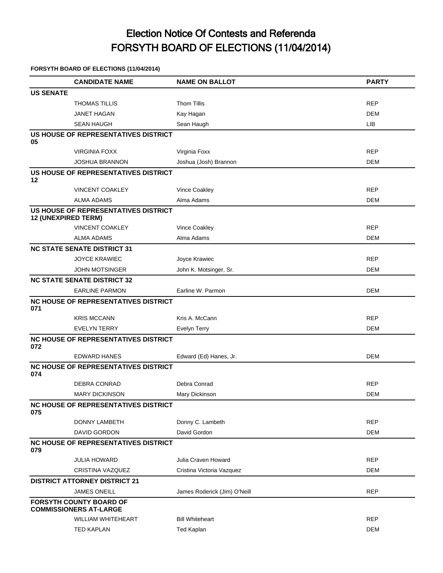# Election Notice Of Contests and Referenda FORSYTH BOARD OF ELECTIONS (11/04/2014)

## **FORSYTH BOARD OF ELECTIONS (11/04/2014)**

|                  | <b>CANDIDATE NAME</b>                                              | <b>NAME ON BALLOT</b>        | <b>PARTY</b> |
|------------------|--------------------------------------------------------------------|------------------------------|--------------|
| <b>US SENATE</b> |                                                                    |                              |              |
|                  | <b>THOMAS TILLIS</b>                                               | <b>Thom Tillis</b>           | <b>REP</b>   |
|                  | <b>JANET HAGAN</b>                                                 | Kay Hagan                    | DEM          |
|                  | <b>SEAN HAUGH</b>                                                  | Sean Haugh                   | <b>LIB</b>   |
|                  | US HOUSE OF REPRESENTATIVES DISTRICT                               |                              |              |
| 05               |                                                                    |                              |              |
|                  | <b>VIRGINIA FOXX</b>                                               | Virginia Foxx                | <b>REP</b>   |
|                  | <b>JOSHUA BRANNON</b><br>US HOUSE OF REPRESENTATIVES DISTRICT      | Joshua (Josh) Brannon        | DEM          |
| 12               |                                                                    |                              |              |
|                  | <b>VINCENT COAKLEY</b>                                             | Vince Coakley                | <b>REP</b>   |
|                  | <b>ALMA ADAMS</b>                                                  | Alma Adams                   | DEM          |
|                  | US HOUSE OF REPRESENTATIVES DISTRICT<br><b>12 (UNEXPIRED TERM)</b> |                              |              |
|                  | <b>VINCENT COAKLEY</b>                                             | Vince Coakley                | <b>REP</b>   |
|                  | <b>ALMA ADAMS</b>                                                  | Alma Adams                   | DEM          |
|                  | <b>NC STATE SENATE DISTRICT 31</b>                                 |                              |              |
|                  | <b>JOYCE KRAWIEC</b>                                               | Joyce Krawiec                | <b>REP</b>   |
|                  | <b>JOHN MOTSINGER</b>                                              | John K. Motsinger, Sr.       | DEM          |
|                  | <b>NC STATE SENATE DISTRICT 32</b>                                 |                              |              |
|                  | <b>EARLINE PARMON</b>                                              | Earline W. Parmon            | <b>DEM</b>   |
| 071              | NC HOUSE OF REPRESENTATIVES DISTRICT                               |                              |              |
|                  | <b>KRIS MCCANN</b>                                                 | Kris A. McCann               | <b>REP</b>   |
|                  | <b>EVELYN TERRY</b>                                                | Evelyn Terry                 | DEM          |
| 072              | <b>NC HOUSE OF REPRESENTATIVES DISTRICT</b>                        |                              |              |
|                  | <b>EDWARD HANES</b>                                                | Edward (Ed) Hanes, Jr.       | DEM          |
| 074              | <b>NC HOUSE OF REPRESENTATIVES DISTRICT</b>                        |                              |              |
|                  | DEBRA CONRAD                                                       | Debra Conrad                 | <b>REP</b>   |
|                  | <b>MARY DICKINSON</b>                                              | Mary Dickinson               | DEM          |
| 075              | <b>NC HOUSE OF REPRESENTATIVES DISTRICT</b>                        |                              |              |
|                  | DONNY LAMBETH                                                      | Donny C. Lambeth             | <b>REP</b>   |
|                  | DAVID GORDON                                                       | David Gordon                 | <b>DEM</b>   |
| 079              | <b>NC HOUSE OF REPRESENTATIVES DISTRICT</b>                        |                              |              |
|                  | <b>JULIA HOWARD</b>                                                | Julia Craven Howard          | <b>REP</b>   |
|                  | CRISTINA VAZQUEZ                                                   | Cristina Victoria Vazquez    | DEM          |
|                  | <b>DISTRICT ATTORNEY DISTRICT 21</b>                               |                              |              |
|                  | <b>JAMES ONEILL</b>                                                | James Roderick (Jim) O'Neill | <b>REP</b>   |
|                  | <b>FORSYTH COUNTY BOARD OF</b><br><b>COMMISSIONERS AT-LARGE</b>    |                              |              |
|                  | <b>WILLIAM WHITEHEART</b>                                          | <b>Bill Whiteheart</b>       | <b>REP</b>   |
|                  | <b>TED KAPLAN</b>                                                  | <b>Ted Kaplan</b>            | DEM          |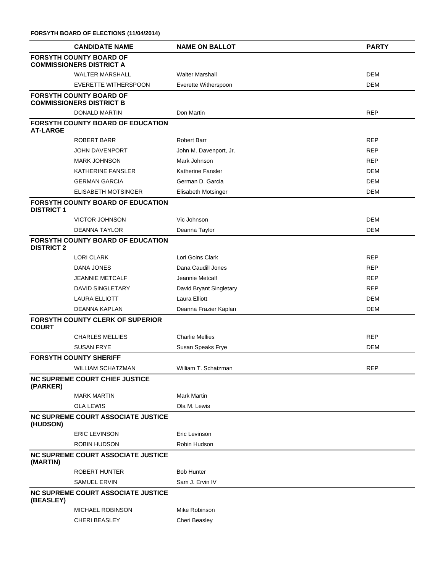**FORSYTH BOARD OF ELECTIONS (11/04/2014)**

|                                                                   | <b>CANDIDATE NAME</b>                                             | <b>NAME ON BALLOT</b>   | <b>PARTY</b> |  |
|-------------------------------------------------------------------|-------------------------------------------------------------------|-------------------------|--------------|--|
| <b>FORSYTH COUNTY BOARD OF</b><br><b>COMMISSIONERS DISTRICT A</b> |                                                                   |                         |              |  |
|                                                                   | <b>WALTER MARSHALL</b>                                            | <b>Walter Marshall</b>  | <b>DEM</b>   |  |
|                                                                   | <b>EVERETTE WITHERSPOON</b>                                       | Everette Witherspoon    | <b>DEM</b>   |  |
|                                                                   | <b>FORSYTH COUNTY BOARD OF</b><br><b>COMMISSIONERS DISTRICT B</b> |                         |              |  |
|                                                                   | <b>DONALD MARTIN</b>                                              | Don Martin              | <b>REP</b>   |  |
| <b>AT-LARGE</b>                                                   | <b>FORSYTH COUNTY BOARD OF EDUCATION</b>                          |                         |              |  |
|                                                                   | ROBERT BARR                                                       | <b>Robert Barr</b>      | <b>REP</b>   |  |
|                                                                   | <b>JOHN DAVENPORT</b>                                             | John M. Davenport, Jr.  | <b>REP</b>   |  |
|                                                                   | <b>MARK JOHNSON</b>                                               | Mark Johnson            | <b>REP</b>   |  |
|                                                                   | KATHERINE FANSLER                                                 | Katherine Fansler       | <b>DEM</b>   |  |
|                                                                   | <b>GERMAN GARCIA</b>                                              | German D. Garcia        | <b>DEM</b>   |  |
|                                                                   | ELISABETH MOTSINGER                                               | Elisabeth Motsinger     | <b>DEM</b>   |  |
| <b>DISTRICT 1</b>                                                 | FORSYTH COUNTY BOARD OF EDUCATION                                 |                         |              |  |
|                                                                   | <b>VICTOR JOHNSON</b>                                             | Vic Johnson             | <b>DEM</b>   |  |
|                                                                   | <b>DEANNA TAYLOR</b>                                              | Deanna Taylor           | <b>DEM</b>   |  |
| <b>DISTRICT 2</b>                                                 | <b>FORSYTH COUNTY BOARD OF EDUCATION</b>                          |                         |              |  |
|                                                                   | <b>LORI CLARK</b>                                                 | Lori Goins Clark        | <b>REP</b>   |  |
|                                                                   | DANA JONES                                                        | Dana Caudill Jones      | <b>REP</b>   |  |
|                                                                   | <b>JEANNIE METCALF</b>                                            | Jeannie Metcalf         | <b>REP</b>   |  |
|                                                                   | DAVID SINGLETARY                                                  | David Bryant Singletary | <b>REP</b>   |  |
|                                                                   | <b>LAURA ELLIOTT</b>                                              | Laura Elliott           | <b>DEM</b>   |  |
|                                                                   | DEANNA KAPLAN                                                     | Deanna Frazier Kaplan   | <b>DEM</b>   |  |
| <b>COURT</b>                                                      | <b>FORSYTH COUNTY CLERK OF SUPERIOR</b>                           |                         |              |  |
|                                                                   | <b>CHARLES MELLIES</b>                                            | <b>Charlie Mellies</b>  | <b>REP</b>   |  |
|                                                                   | <b>SUSAN FRYE</b>                                                 | Susan Speaks Frye       | <b>DEM</b>   |  |
|                                                                   | <b>FORSYTH COUNTY SHERIFF</b>                                     |                         |              |  |
|                                                                   | <b>WILLIAM SCHATZMAN</b>                                          | William T. Schatzman    | <b>REP</b>   |  |
| (PARKER)                                                          | <b>NC SUPREME COURT CHIEF JUSTICE</b>                             |                         |              |  |
|                                                                   | <b>MARK MARTIN</b>                                                | <b>Mark Martin</b>      |              |  |
|                                                                   | <b>OLA LEWIS</b>                                                  | Ola M. Lewis            |              |  |
| (HUDSON)                                                          | <b>NC SUPREME COURT ASSOCIATE JUSTICE</b>                         |                         |              |  |
|                                                                   | <b>ERIC LEVINSON</b>                                              | Eric Levinson           |              |  |
|                                                                   | <b>ROBIN HUDSON</b>                                               | Robin Hudson            |              |  |
| (MARTIN)                                                          | <b>NC SUPREME COURT ASSOCIATE JUSTICE</b>                         |                         |              |  |
|                                                                   | ROBERT HUNTER                                                     | <b>Bob Hunter</b>       |              |  |
|                                                                   | <b>SAMUEL ERVIN</b>                                               | Sam J. Ervin IV         |              |  |
| (BEASLEY)                                                         | <b>NC SUPREME COURT ASSOCIATE JUSTICE</b>                         |                         |              |  |
|                                                                   | <b>MICHAEL ROBINSON</b>                                           | Mike Robinson           |              |  |
|                                                                   | <b>CHERI BEASLEY</b>                                              | Cheri Beasley           |              |  |
|                                                                   |                                                                   |                         |              |  |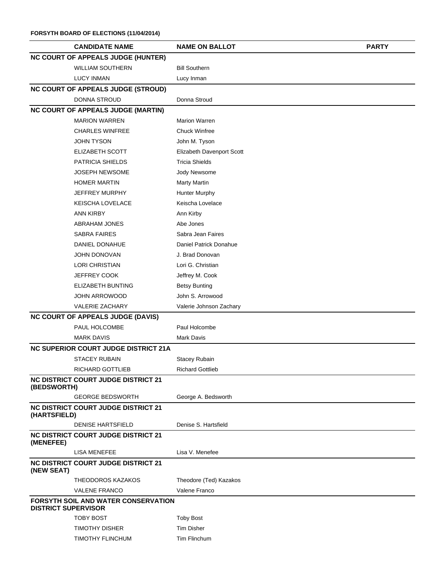### **FORSYTH BOARD OF ELECTIONS (11/04/2014)**

| <b>CANDIDATE NAME</b>                                             | <b>NAME ON BALLOT</b>     | <b>PARTY</b> |  |  |
|-------------------------------------------------------------------|---------------------------|--------------|--|--|
| <b>NC COURT OF APPEALS JUDGE (HUNTER)</b>                         |                           |              |  |  |
| <b>WILLIAM SOUTHERN</b>                                           | <b>Bill Southern</b>      |              |  |  |
| <b>LUCY INMAN</b>                                                 | Lucy Inman                |              |  |  |
| <b>NC COURT OF APPEALS JUDGE (STROUD)</b>                         |                           |              |  |  |
| DONNA STROUD                                                      | Donna Stroud              |              |  |  |
| <b>NC COURT OF APPEALS JUDGE (MARTIN)</b>                         |                           |              |  |  |
| <b>MARION WARREN</b>                                              | <b>Marion Warren</b>      |              |  |  |
| <b>CHARLES WINFREE</b>                                            | <b>Chuck Winfree</b>      |              |  |  |
| <b>JOHN TYSON</b>                                                 | John M. Tyson             |              |  |  |
| ELIZABETH SCOTT                                                   | Elizabeth Davenport Scott |              |  |  |
| PATRICIA SHIELDS                                                  | <b>Tricia Shields</b>     |              |  |  |
| <b>JOSEPH NEWSOME</b>                                             | Jody Newsome              |              |  |  |
| <b>HOMER MARTIN</b>                                               | <b>Marty Martin</b>       |              |  |  |
| <b>JEFFREY MURPHY</b>                                             | <b>Hunter Murphy</b>      |              |  |  |
| KEISCHA LOVELACE                                                  | Keischa Lovelace          |              |  |  |
| <b>ANN KIRBY</b>                                                  | Ann Kirby                 |              |  |  |
| <b>ABRAHAM JONES</b>                                              | Abe Jones                 |              |  |  |
| <b>SABRA FAIRES</b>                                               | Sabra Jean Faires         |              |  |  |
| DANIEL DONAHUE                                                    | Daniel Patrick Donahue    |              |  |  |
| <b>JOHN DONOVAN</b>                                               | J. Brad Donovan           |              |  |  |
| <b>LORI CHRISTIAN</b>                                             | Lori G. Christian         |              |  |  |
| JEFFREY COOK                                                      | Jeffrey M. Cook           |              |  |  |
| ELIZABETH BUNTING                                                 | <b>Betsy Bunting</b>      |              |  |  |
| <b>JOHN ARROWOOD</b>                                              | John S. Arrowood          |              |  |  |
| <b>VALERIE ZACHARY</b>                                            | Valerie Johnson Zachary   |              |  |  |
| <b>NC COURT OF APPEALS JUDGE (DAVIS)</b>                          |                           |              |  |  |
| PAUL HOLCOMBE                                                     | Paul Holcombe             |              |  |  |
| <b>MARK DAVIS</b>                                                 | Mark Davis                |              |  |  |
| <b>NC SUPERIOR COURT JUDGE DISTRICT 21A</b>                       |                           |              |  |  |
| <b>STACEY RUBAIN</b>                                              | <b>Stacey Rubain</b>      |              |  |  |
| RICHARD GOTTLIEB                                                  | <b>Richard Gottlieb</b>   |              |  |  |
| <b>NC DISTRICT COURT JUDGE DISTRICT 21</b><br>(BEDSWORTH)         |                           |              |  |  |
| <b>GEORGE BEDSWORTH</b>                                           | George A. Bedsworth       |              |  |  |
| <b>NC DISTRICT COURT JUDGE DISTRICT 21</b><br>(HARTSFIELD)        |                           |              |  |  |
| <b>DENISE HARTSFIELD</b>                                          | Denise S. Hartsfield      |              |  |  |
| <b>NC DISTRICT COURT JUDGE DISTRICT 21</b><br>(MENEFEE)           |                           |              |  |  |
| <b>LISA MENEFEE</b>                                               | Lisa V. Menefee           |              |  |  |
| NC DISTRICT COURT JUDGE DISTRICT 21<br>(NEW SEAT)                 |                           |              |  |  |
| THEODOROS KAZAKOS                                                 | Theodore (Ted) Kazakos    |              |  |  |
| <b>VALENE FRANCO</b>                                              | Valene Franco             |              |  |  |
| FORSYTH SOIL AND WATER CONSERVATION<br><b>DISTRICT SUPERVISOR</b> |                           |              |  |  |
| <b>TOBY BOST</b>                                                  | <b>Toby Bost</b>          |              |  |  |
| <b>TIMOTHY DISHER</b>                                             | <b>Tim Disher</b>         |              |  |  |
| TIMOTHY FLINCHUM                                                  | Tim Flinchum              |              |  |  |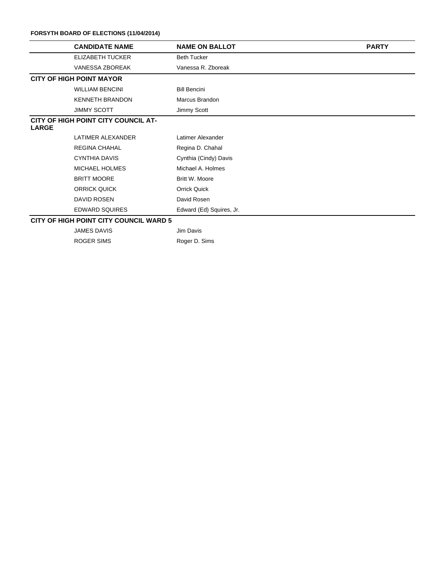#### **FORSYTH BOARD OF ELECTIONS (11/04/2014)**

|              | <b>CANDIDATE NAME</b>                         | <b>NAME ON BALLOT</b>    | <b>PARTY</b> |
|--------------|-----------------------------------------------|--------------------------|--------------|
|              | ELIZABETH TUCKER                              | <b>Beth Tucker</b>       |              |
|              | <b>VANESSA ZBOREAK</b>                        | Vanessa R. Zboreak       |              |
|              | <b>CITY OF HIGH POINT MAYOR</b>               |                          |              |
|              | <b>WILLIAM BENCINI</b>                        | <b>Bill Bencini</b>      |              |
|              | <b>KENNETH BRANDON</b>                        | Marcus Brandon           |              |
|              | <b>JIMMY SCOTT</b>                            | Jimmy Scott              |              |
| <b>LARGE</b> | CITY OF HIGH POINT CITY COUNCIL AT-           |                          |              |
|              | LATIMER ALEXANDER                             | Latimer Alexander        |              |
|              | <b>REGINA CHAHAL</b>                          | Regina D. Chahal         |              |
|              | <b>CYNTHIA DAVIS</b>                          | Cynthia (Cindy) Davis    |              |
|              | <b>MICHAEL HOLMES</b>                         | Michael A. Holmes        |              |
|              | <b>BRITT MOORE</b>                            | Britt W. Moore           |              |
|              | <b>ORRICK QUICK</b>                           | <b>Orrick Quick</b>      |              |
|              | DAVID ROSEN                                   | David Rosen              |              |
|              | <b>EDWARD SQUIRES</b>                         | Edward (Ed) Squires, Jr. |              |
|              | <b>CITY OF HIGH POINT CITY COUNCIL WARD 5</b> |                          |              |
|              | <b>JAMES DAVIS</b>                            | Jim Davis                |              |

ROGER SIMS Roger D. Sims